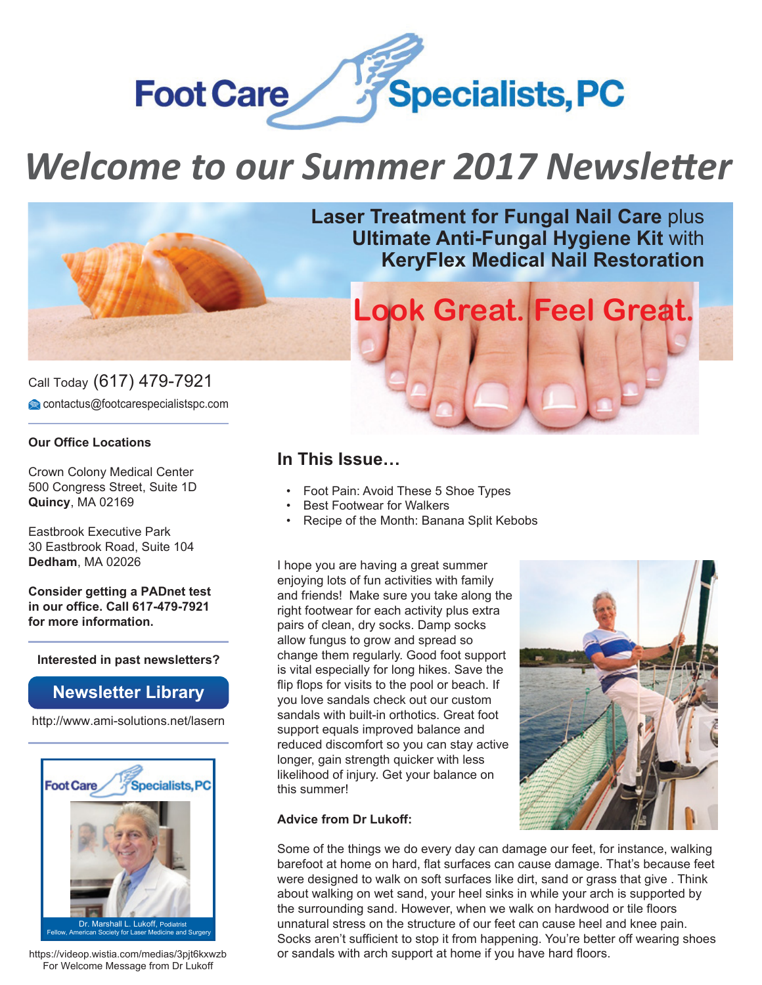

# *Welcome to our Summer 2017 Newsletter*



Call Today (617) 479-7921 contactus@footcarespecialistspc.com

#### **Our Office Locations**

Crown Colony Medical Center 500 Congress Street, Suite 1D **Quincy**, MA 02169

Eastbrook Executive Park 30 Eastbrook Road, Suite 104 **Dedham**, MA 02026

**Consider getting a PADnet test in our office. Call 617-479-7921 for more information.**

**Interested in past newsletters?**

#### **Newsletter Library**

http://www.ami-solutions.net/lasern



Fellow, American Society for Laser Medicine and Surgery

https://videop.wistia.com/medias/3pjt6kxwzb For Welcome Message from Dr Lukoff

**Laser Treatment for Fungal Nail Care** plus **Ultimate Anti-Fungal Hygiene Kit** with **KeryFlex Medical Nail Restoration**

**Look Great. Feel Great.**

### **In This Issue…**

- Foot Pain: Avoid These 5 Shoe Types
- **Best Footwear for Walkers**
- Recipe of the Month: Banana Split Kebobs

I hope you are having a great summer enjoying lots of fun activities with family and friends! Make sure you take along the right footwear for each activity plus extra pairs of clean, dry socks. Damp socks allow fungus to grow and spread so change them regularly. Good foot support is vital especially for long hikes. Save the flip flops for visits to the pool or beach. If you love sandals check out our custom sandals with built-in orthotics. Great foot support equals improved balance and reduced discomfort so you can stay active longer, gain strength quicker with less likelihood of injury. Get your balance on this summer!



#### **Advice from Dr Lukoff:**

Some of the things we do every day can damage our feet, for instance, walking barefoot at home on hard, flat surfaces can cause damage. That's because feet were designed to walk on soft surfaces like dirt, sand or grass that give . Think about walking on wet sand, your heel sinks in while your arch is supported by the surrounding sand. However, when we walk on hardwood or tile floors unnatural stress on the structure of our feet can cause heel and knee pain. Socks aren't sufficient to stop it from happening. You're better off wearing shoes or sandals with arch support at home if you have hard floors.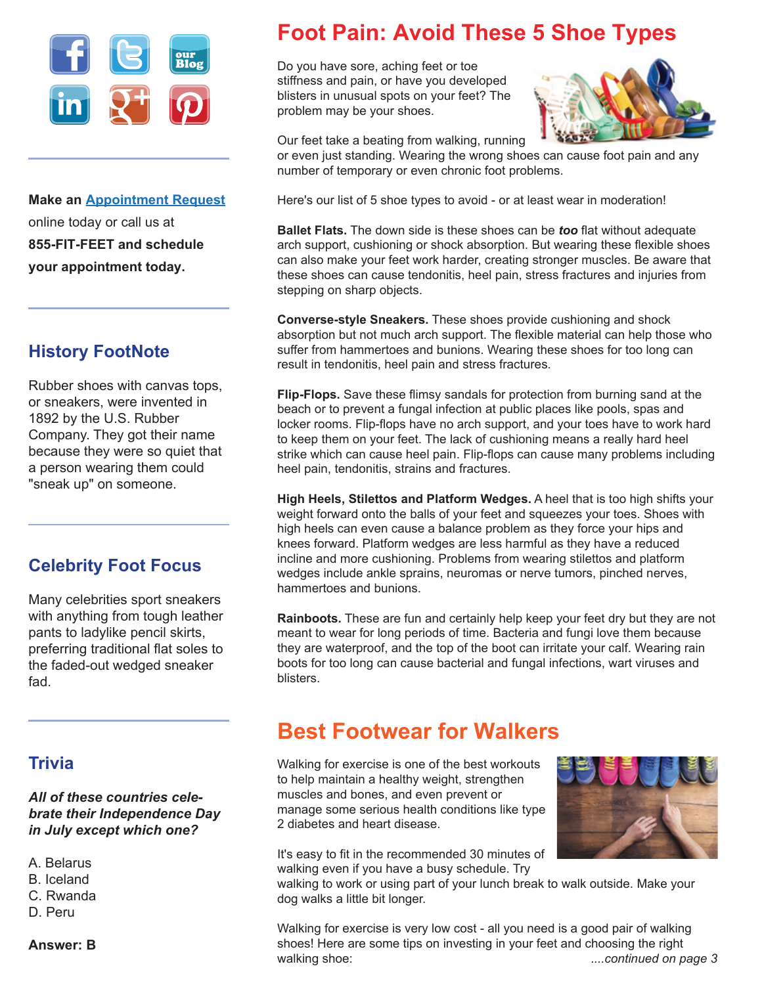

**Make an Appointment Request** online today or call us at **855-FIT-FEET and schedule your appointment today.**

### **History FootNote**

Rubber shoes with canvas tops, or sneakers, were invented in 1892 by the U.S. Rubber Company. They got their name because they were so quiet that a person wearing them could "sneak up" on someone.

### **Celebrity Foot Focus**

Many celebrities sport sneakers with anything from tough leather pants to ladylike pencil skirts, preferring traditional flat soles to the faded-out wedged sneaker fad.

#### **Trivia**

*All of these countries celebrate their Independence Day in July except which one?* 

- A. Belarus
- B. Iceland
- C. Rwanda
- D. Peru

## **Foot Pain: Avoid These 5 Shoe Types**

Do you have sore, aching feet or toe stiffness and pain, or have you developed blisters in unusual spots on your feet? The problem may be your shoes.



Our feet take a beating from walking, running

or even just standing. Wearing the wrong shoes can cause foot pain and any number of temporary or even chronic foot problems.

Here's our list of 5 shoe types to avoid - or at least wear in moderation!

**Ballet Flats.** The down side is these shoes can be *too* flat without adequate arch support, cushioning or shock absorption. But wearing these flexible shoes can also make your feet work harder, creating stronger muscles. Be aware that these shoes can cause tendonitis, heel pain, stress fractures and injuries from stepping on sharp objects.

**Converse-style Sneakers.** These shoes provide cushioning and shock absorption but not much arch support. The flexible material can help those who suffer from hammertoes and bunions. Wearing these shoes for too long can result in tendonitis, heel pain and stress fractures.

**Flip-Flops.** Save these flimsy sandals for protection from burning sand at the beach or to prevent a fungal infection at public places like pools, spas and locker rooms. Flip-flops have no arch support, and your toes have to work hard to keep them on your feet. The lack of cushioning means a really hard heel strike which can cause heel pain. Flip-flops can cause many problems including heel pain, tendonitis, strains and fractures.

**High Heels, Stilettos and Platform Wedges.** A heel that is too high shifts your weight forward onto the balls of your feet and squeezes your toes. Shoes with high heels can even cause a balance problem as they force your hips and knees forward. Platform wedges are less harmful as they have a reduced incline and more cushioning. Problems from wearing stilettos and platform wedges include ankle sprains, neuromas or nerve tumors, pinched nerves, hammertoes and bunions.

**Rainboots.** These are fun and certainly help keep your feet dry but they are not meant to wear for long periods of time. Bacteria and fungi love them because they are waterproof, and the top of the boot can irritate your calf. Wearing rain boots for too long can cause bacterial and fungal infections, wart viruses and blisters.

## **Best Footwear for Walkers**

Walking for exercise is one of the best workouts to help maintain a healthy weight, strengthen muscles and bones, and even prevent or manage some serious health conditions like type 2 diabetes and heart disease.

It's easy to fit in the recommended 30 minutes of walking even if you have a busy schedule. Try



walking to work or using part of your lunch break to walk outside. Make your dog walks a little bit longer.

Walking for exercise is very low cost - all you need is a good pair of walking shoes! Here are some tips on investing in your feet and choosing the right walking shoe: .*...continued on page 3*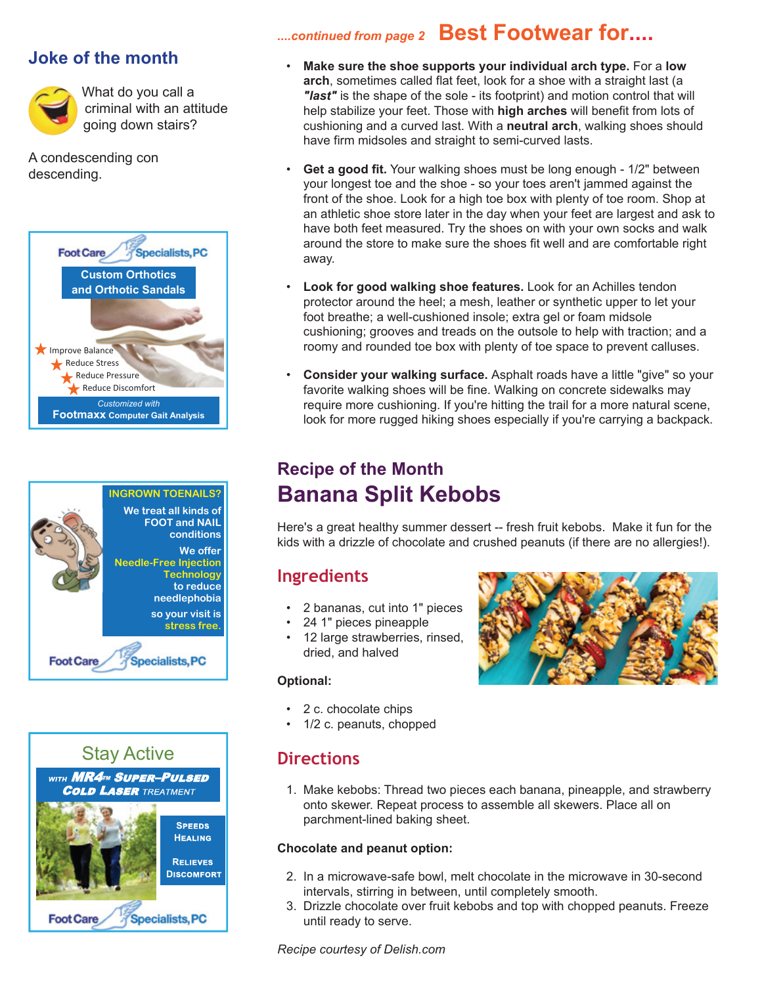#### **Joke of the month**



What do you call a criminal with an attitude going down stairs?

A condescending con descending.







## *....continued from page 2* **Best Footwear for....**

- **Make sure the shoe supports your individual arch type.** For a **low arch**, sometimes called flat feet, look for a shoe with a straight last (a *"last"* is the shape of the sole - its footprint) and motion control that will help stabilize your feet. Those with **high arches** will benefit from lots of cushioning and a curved last. With a **neutral arch**, walking shoes should have firm midsoles and straight to semi-curved lasts.
- **Get a good fit.** Your walking shoes must be long enough 1/2" between your longest toe and the shoe - so your toes aren't jammed against the front of the shoe. Look for a high toe box with plenty of toe room. Shop at an athletic shoe store later in the day when your feet are largest and ask to have both feet measured. Try the shoes on with your own socks and walk around the store to make sure the shoes fit well and are comfortable right away.
- **Look for good walking shoe features.** Look for an Achilles tendon protector around the heel; a mesh, leather or synthetic upper to let your foot breathe; a well-cushioned insole; extra gel or foam midsole cushioning; grooves and treads on the outsole to help with traction; and a roomy and rounded toe box with plenty of toe space to prevent calluses.
- **Consider your walking surface.** Asphalt roads have a little "give" so your favorite walking shoes will be fine. Walking on concrete sidewalks may require more cushioning. If you're hitting the trail for a more natural scene, look for more rugged hiking shoes especially if you're carrying a backpack.

## **Recipe of the Month Banana Split Kebobs**

Here's a great healthy summer dessert -- fresh fruit kebobs. Make it fun for the kids with a drizzle of chocolate and crushed peanuts (if there are no allergies!).

### **Ingredients**

- 2 bananas, cut into 1" pieces
- 24 1" pieces pineapple
- 12 large strawberries, rinsed, dried, and halved

#### **Optional:**

- 2 c. chocolate chips
- 1/2 c. peanuts, chopped

#### **Directions**

 1. Make kebobs: Thread two pieces each banana, pineapple, and strawberry onto skewer. Repeat process to assemble all skewers. Place all on parchment-lined baking sheet.

#### **Chocolate and peanut option:**

- 2. In a microwave-safe bowl, melt chocolate in the microwave in 30-second intervals, stirring in between, until completely smooth.
- 3. Drizzle chocolate over fruit kebobs and top with chopped peanuts. Freeze until ready to serve.

*Recipe courtesy of Delish.com*